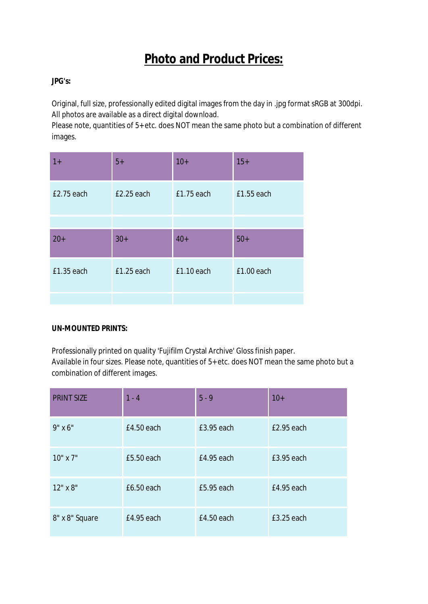# **Photo and Product Prices:**

# **JPG's:**

Original, full size, professionally edited digital images from the day in .jpg format sRGB at 300dpi. All photos are available as a direct digital download.

Please note, quantities of 5+ etc. does NOT mean the same photo but a combination of different images.

| $1+$       | $5+$         | $10+$        | $15+$      |
|------------|--------------|--------------|------------|
| £2.75 each | $E2.25$ each | $£1.75$ each | £1.55 each |
|            |              |              |            |
| $20+$      | $30+$        | $40+$        | $50+$      |
| £1.35 each | $£1.25$ each | $£1.10$ each | £1.00 each |
|            |              |              |            |

## **UN-MOUNTED PRINTS:**

Professionally printed on quality 'Fujifilm Crystal Archive' Gloss finish paper. Available in four sizes. Please note, quantities of 5+ etc. does NOT mean the same photo but a combination of different images.

| <b>PRINT SIZE</b> | $1 - 4$      | $5 - 9$      | $10+$      |
|-------------------|--------------|--------------|------------|
| $9" \times 6"$    | $E4.50$ each | £3.95 each   | £2.95 each |
| 10" x 7"          | £5.50 each   | $E4.95$ each | £3.95 each |
| 12" x 8"          | £6.50 each   | £5.95 each   | £4.95 each |
| 8" x 8" Square    | £4.95 each   | £4.50 each   | £3.25 each |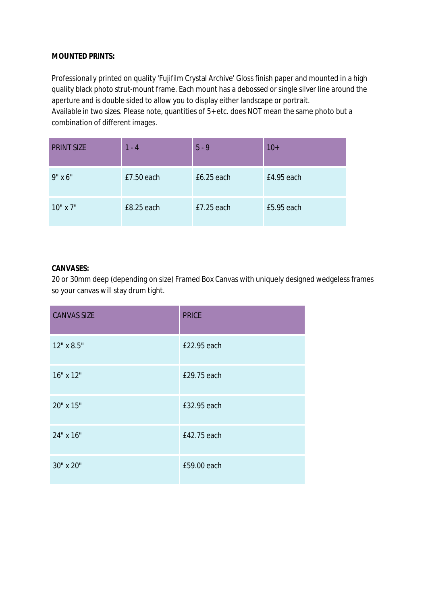#### **MOUNTED PRINTS:**

Professionally printed on quality 'Fujifilm Crystal Archive' Gloss finish paper and mounted in a high quality black photo strut-mount frame. Each mount has a debossed or single silver line around the aperture and is double sided to allow you to display either landscape or portrait.

Available in two sizes. Please note, quantities of 5+ etc. does NOT mean the same photo but a combination of different images.

| <b>PRINT SIZE</b> | $1 - 4$    | $5 - 9$      | $10+$      |
|-------------------|------------|--------------|------------|
| $9" \times 6"$    | £7.50 each | $£6.25$ each | £4.95 each |
| $10"$ x $7"$      | £8.25 each | $E7.25$ each | £5.95 each |

#### **CANVASES:**

20 or 30mm deep (depending on size) Framed Box Canvas with uniquely designed wedgeless frames so your canvas will stay drum tight.

| <b>CANVAS SIZE</b> | <b>PRICE</b> |
|--------------------|--------------|
| 12" x 8.5"         | £22.95 each  |
| 16" x 12"          | £29.75 each  |
| 20" x 15"          | £32.95 each  |
| 24" x 16"          | £42.75 each  |
| 30" x 20"          | £59.00 each  |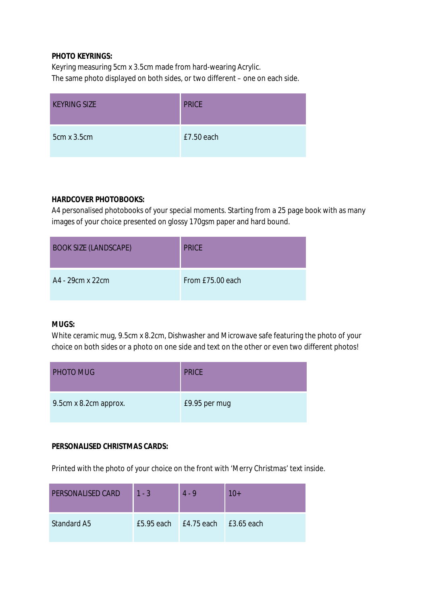## **PHOTO KEYRINGS:**

Keyring measuring 5cm x 3.5cm made from hard-wearing Acrylic. The same photo displayed on both sides, or two different – one on each side.

| <b>KEYRING SIZE</b> | <b>PRICE</b> |
|---------------------|--------------|
| $5cm \times 3.5cm$  | $£7.50$ each |

#### **HARDCOVER PHOTOBOOKS:**

A4 personalised photobooks of your special moments. Starting from a 25 page book with as many images of your choice presented on glossy 170gsm paper and hard bound.

| <b>BOOK SIZE (LANDSCAPE)</b> | <b>PRICE</b>     |
|------------------------------|------------------|
| A4 - 29cm x 22cm             | From £75.00 each |

#### **MUGS:**

White ceramic mug, 9.5cm x 8.2cm, Dishwasher and Microwave safe featuring the photo of your choice on both sides or a photo on one side and text on the other or even two different photos!

| <b>PHOTO MUG</b>      | <b>PRICE</b>  |
|-----------------------|---------------|
| 9.5cm x 8.2cm approx. | £9.95 per mug |

# **PERSONALISED CHRISTMAS CARDS:**

Printed with the photo of your choice on the front with 'Merry Christmas' text inside.

| PERSONALISED CARD  | $1 - 3$ | $4 - 9$                                   | $10+$ |
|--------------------|---------|-------------------------------------------|-------|
| <b>Standard A5</b> |         | $E$ 5.95 each $E$ 4.75 each $E$ 3.65 each |       |